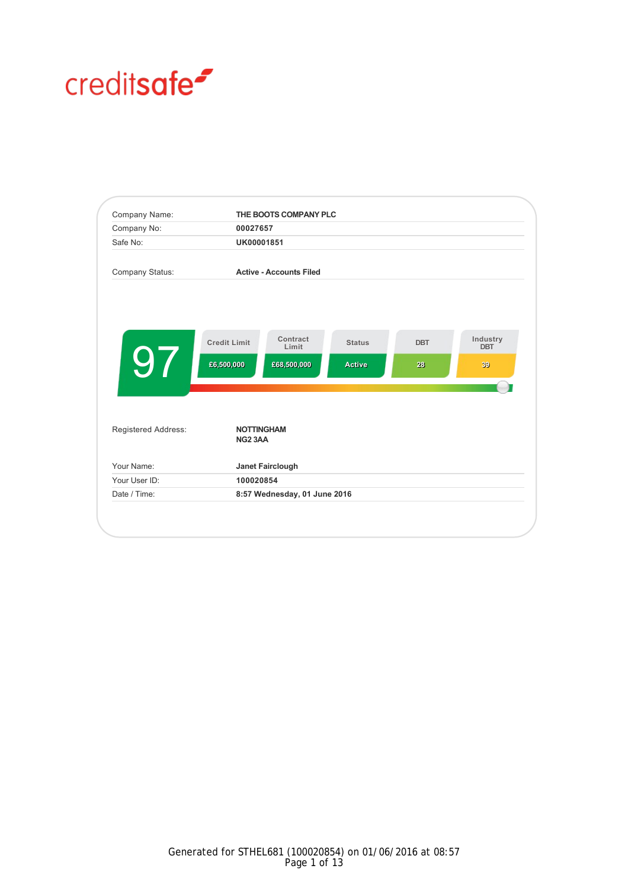# creditsafe<sup>2</sup>

| Company Name:       |                                          | THE BOOTS COMPANY PLC          |               |            |                        |
|---------------------|------------------------------------------|--------------------------------|---------------|------------|------------------------|
| Company No:         | 00027657                                 |                                |               |            |                        |
| Safe No:            | UK00001851                               |                                |               |            |                        |
| Company Status:     |                                          | <b>Active - Accounts Filed</b> |               |            |                        |
|                     |                                          |                                |               |            |                        |
|                     | <b>Credit Limit</b>                      | Contract<br>Limit              | <b>Status</b> | <b>DBT</b> | Industry<br><b>DBT</b> |
| 97                  | £6,500,000                               | £68,500,000                    | <b>Active</b> | 28         | 39                     |
| Registered Address: | <b>NOTTINGHAM</b><br>NG <sub>2</sub> 3AA |                                |               |            |                        |
| Your Name:          | Janet Fairclough                         |                                |               |            |                        |
| Your User ID:       | 100020854                                |                                |               |            |                        |
| Date / Time:        | 8:57 Wednesday, 01 June 2016             |                                |               |            |                        |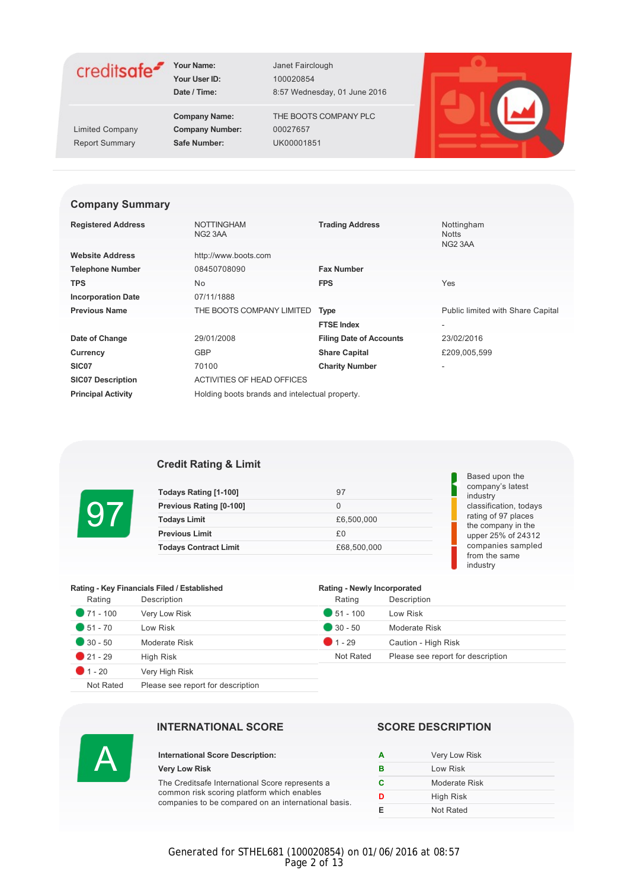

**Your User ID:** 100020854

Limited Company **Company Number:** 00027657

Date / Time: 8:57 Wednesday, 01 June 2016

**Company Name:** THE BOOTS COMPANY PLC Report Summary **Safe Number:** UK00001851



#### **Company Summary**

| <b>Registered Address</b> | <b>NOTTINGHAM</b><br>NG2 3AA                   | <b>Trading Address</b>         | Nottingham<br><b>Notts</b>        |
|---------------------------|------------------------------------------------|--------------------------------|-----------------------------------|
|                           |                                                |                                | NG <sub>2</sub> 3AA               |
| <b>Website Address</b>    | http://www.boots.com                           |                                |                                   |
| <b>Telephone Number</b>   | 08450708090                                    | <b>Fax Number</b>              |                                   |
| <b>TPS</b>                | No.                                            | <b>FPS</b>                     | Yes                               |
| <b>Incorporation Date</b> | 07/11/1888                                     |                                |                                   |
| <b>Previous Name</b>      | THE BOOTS COMPANY LIMITED                      | <b>Type</b>                    | Public limited with Share Capital |
|                           |                                                | <b>FTSE Index</b>              | ٠                                 |
| Date of Change            | 29/01/2008                                     | <b>Filing Date of Accounts</b> | 23/02/2016                        |
| Currency                  | <b>GBP</b>                                     | <b>Share Capital</b>           | £209,005,599                      |
| SIC <sub>07</sub>         | 70100                                          | <b>Charity Number</b>          | ٠                                 |
| <b>SIC07 Description</b>  | ACTIVITIES OF HEAD OFFICES                     |                                |                                   |
| <b>Principal Activity</b> | Holding boots brands and intelectual property. |                                |                                   |

#### **Credit Rating & Limit**

| Todays Rating [1-100]        | 97          |
|------------------------------|-------------|
| Previous Rating [0-100]      |             |
| <b>Todays Limit</b>          | £6,500,000  |
| <b>Previous Limit</b>        | £0          |
| <b>Todays Contract Limit</b> | £68,500,000 |

#### Based upon the company's latest industry classification, todays rating of 97 places the company in the upper 25% of 24312 companies sampled from the same industry

| Rating - Key Financials Filed / Established |                |                    | Rating - Newly Incorporated       |  |  |
|---------------------------------------------|----------------|--------------------|-----------------------------------|--|--|
| Rating                                      | Description    | Rating             | Description                       |  |  |
| $\bullet$ 71 - 100                          | Very Low Risk  | $\bullet$ 51 - 100 | Low Risk                          |  |  |
| $\bullet$ 51 - 70                           | Low Risk       | $\bullet$ 30 - 50  | Moderate Risk                     |  |  |
| $\bullet$ 30 - 50                           | Moderate Risk  | $1 - 29$           | Caution - High Risk               |  |  |
| $21 - 29$                                   | High Risk      | Not Rated          | Please see report for description |  |  |
| $\bullet$ 1 - 20                            | Very High Risk |                    |                                   |  |  |

Not Rated Please see report for description



97

#### **INTERNATIONAL SCORE SCORE DESCRIPTION**

#### **International Score Description: Very Low Risk**

The Creditsafe International Score represents a common risk scoring platform which enables companies to be compared on an international basis.

| А | Very Low Risk |
|---|---------------|
| в | Low Risk      |
| c | Moderate Risk |
| D | High Risk     |
| F | Not Rated     |

Generated for STHEL681 (100020854) on 01/06/2016 at 08:57 Page 2 of 13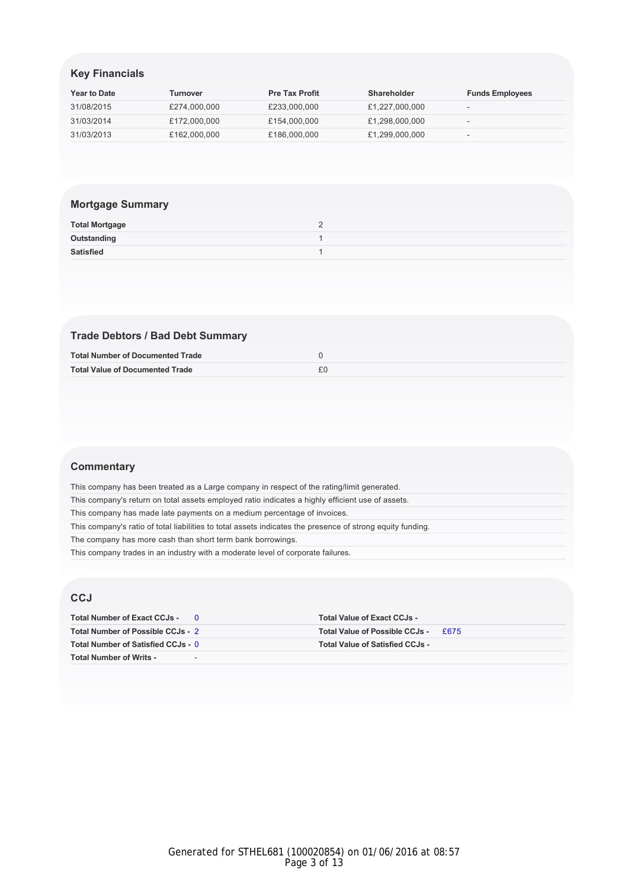# **Key Financials**

| <b>Year to Date</b> | <b>Turnover</b> | <b>Pre Tax Profit</b> | <b>Shareholder</b> | <b>Funds Employees</b>   |
|---------------------|-----------------|-----------------------|--------------------|--------------------------|
| 31/08/2015          | £274,000,000    | £233,000,000          | £1,227,000,000     |                          |
| 31/03/2014          | £172,000,000    | £154.000.000          | £1,298,000,000     | $\overline{\phantom{a}}$ |
| 31/03/2013          | £162,000,000    | £186,000,000          | £1,299,000,000     | $\sim$                   |

# **Mortgage Summary**

| <b>Total Mortgage</b> |  |
|-----------------------|--|
| Outstanding           |  |
| Satisfied             |  |

# **Trade Debtors / Bad Debt Summary**

| <b>Total Number of Documented Trade</b> |  |
|-----------------------------------------|--|
| <b>Total Value of Documented Trade</b>  |  |

#### **Commentary**

| This company has been treated as a Large company in respect of the rating/limit generated.                 |
|------------------------------------------------------------------------------------------------------------|
| This company's return on total assets employed ratio indicates a highly efficient use of assets.           |
| This company has made late payments on a medium percentage of invoices.                                    |
| This company's ratio of total liabilities to total assets indicates the presence of strong equity funding. |
| The company has more cash than short term bank borrowings.                                                 |
| This company trades in an industry with a moderate level of corporate failures.                            |

# **CCJ**

| Total Number of Exact CCJs -       |                          | <b>Total Value of Exact CCJs -</b>     |             |
|------------------------------------|--------------------------|----------------------------------------|-------------|
| Total Number of Possible CCJs - 2  |                          | Total Value of Possible CCJs -         | <b>£675</b> |
| Total Number of Satisfied CCJs - 0 |                          | <b>Total Value of Satisfied CCJs -</b> |             |
| <b>Total Number of Writs -</b>     | $\overline{\phantom{a}}$ |                                        |             |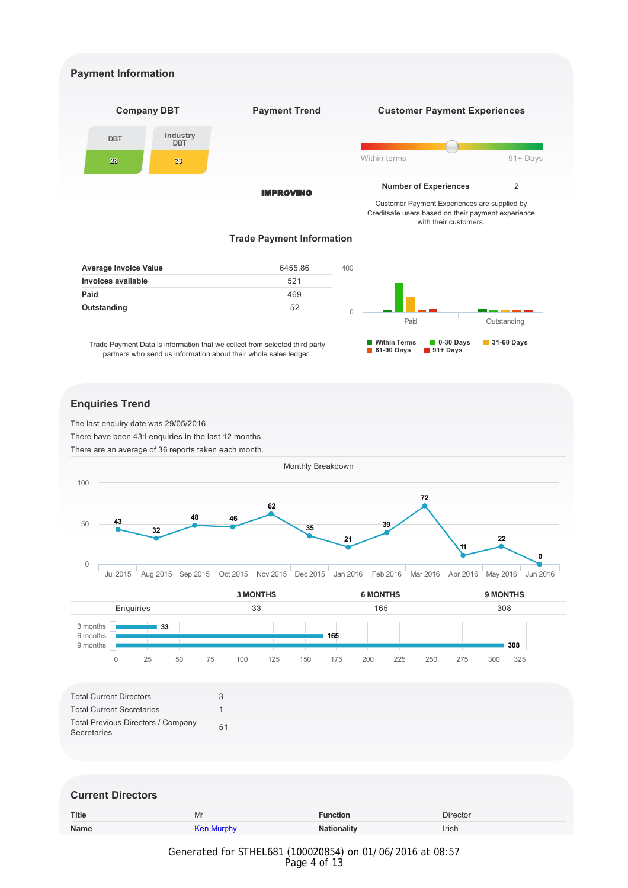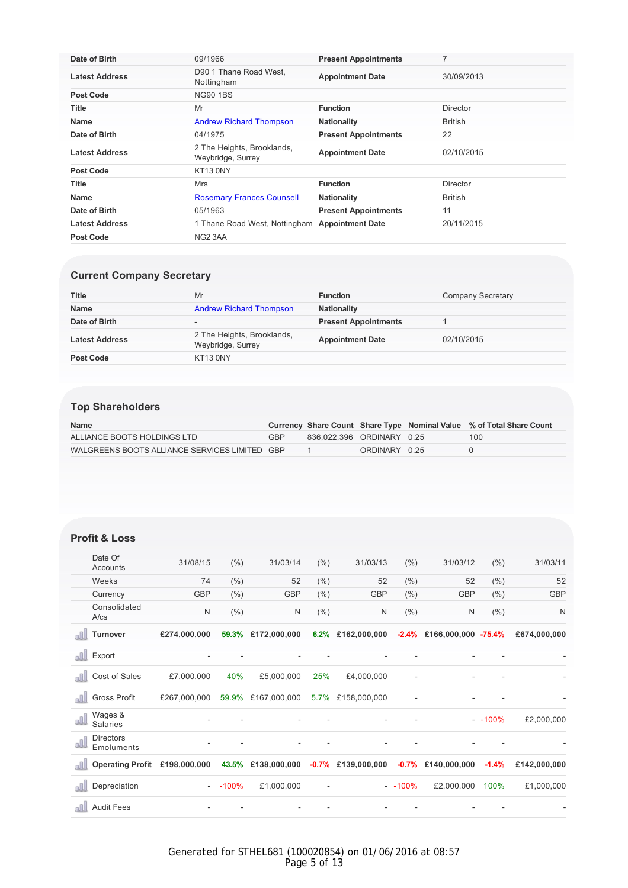| Date of Birth         | 09/1966                                         | <b>Present Appointments</b> | 7               |
|-----------------------|-------------------------------------------------|-----------------------------|-----------------|
| <b>Latest Address</b> | D90 1 Thane Road West.<br>Nottingham            | <b>Appointment Date</b>     | 30/09/2013      |
| <b>Post Code</b>      | <b>NG90 1BS</b>                                 |                             |                 |
| Title                 | Mr                                              | <b>Function</b>             | Director        |
| <b>Name</b>           | <b>Andrew Richard Thompson</b>                  | <b>Nationality</b>          | <b>British</b>  |
| Date of Birth         | 04/1975                                         | <b>Present Appointments</b> | 22              |
| <b>Latest Address</b> | 2 The Heights, Brooklands,<br>Weybridge, Surrey | <b>Appointment Date</b>     | 02/10/2015      |
| <b>Post Code</b>      | KT13 0NY                                        |                             |                 |
| Title                 | <b>Mrs</b>                                      | <b>Function</b>             | <b>Director</b> |
| <b>Name</b>           | <b>Rosemary Frances Counsell</b>                | <b>Nationality</b>          | British         |
| Date of Birth         | 05/1963                                         | <b>Present Appointments</b> | 11              |
| <b>Latest Address</b> | 1 Thane Road West, Nottingham                   | <b>Appointment Date</b>     | 20/11/2015      |
| <b>Post Code</b>      | NG2 3AA                                         |                             |                 |

# **Current Company Secretary**

| <b>Title</b>          | Mr                                              | <b>Function</b>             | Company Secretary |
|-----------------------|-------------------------------------------------|-----------------------------|-------------------|
| <b>Name</b>           | <b>Andrew Richard Thompson</b>                  | <b>Nationality</b>          |                   |
| Date of Birth         | -                                               | <b>Present Appointments</b> |                   |
| <b>Latest Address</b> | 2 The Heights, Brooklands,<br>Weybridge, Surrey | <b>Appointment Date</b>     | 02/10/2015        |
| <b>Post Code</b>      | KT13 0NY                                        |                             |                   |

# **Top Shareholders**

| <b>Name</b>                                   |     |                           |               | Currency Share Count Share Type Nominal Value % of Total Share Count |
|-----------------------------------------------|-----|---------------------------|---------------|----------------------------------------------------------------------|
| ALLIANCE BOOTS HOLDINGS LTD                   | GBP | 836.022.396 ORDINARY 0.25 |               | 100                                                                  |
| WALGREENS BOOTS ALLIANCE SERVICES LIMITED GBP |     |                           | ORDINARY 0.25 |                                                                      |

## **Profit & Loss**

|      | Date Of<br>Accounts            | 31/08/15     | $(\% )$ | 31/03/14                 | (% )    | 31/03/13     | (% )     | 31/03/12                        | (% )     | 31/03/11     |
|------|--------------------------------|--------------|---------|--------------------------|---------|--------------|----------|---------------------------------|----------|--------------|
|      | Weeks                          | 74           | (%)     | 52                       | (% )    | 52           | (%)      | 52                              | (%)      | 52           |
|      | Currency                       | <b>GBP</b>   | (%)     | <b>GBP</b>               | (% )    | <b>GBP</b>   | (% )     | <b>GBP</b>                      | (% )     | <b>GBP</b>   |
|      | Consolidated<br>$A$ / $cs$     | N            | (% )    | N                        | (% )    | N            | (% )     | N                               | (% )     | N            |
| nN   | <b>Turnover</b>                | £274,000,000 | 59.3%   | £172,000,000             | 6.2%    | £162,000,000 |          | $-2.4\%$ £166,000,000 $-75.4\%$ |          | £674,000,000 |
| all. | Export                         |              |         |                          |         |              |          |                                 |          |              |
| all  | Cost of Sales                  | £7,000,000   | 40%     | £5,000,000               | 25%     | £4,000,000   |          |                                 |          |              |
| all  | <b>Gross Profit</b>            | £267,000,000 | 59.9%   | £167,000,000             | 5.7%    | £158,000,000 |          |                                 |          |              |
| alll | Wages &<br>Salaries            |              |         |                          |         |              |          |                                 | $-100\%$ | £2,000,000   |
| all  | <b>Directors</b><br>Emoluments |              |         | $\overline{\phantom{a}}$ |         | ۰            |          |                                 |          |              |
| all  | <b>Operating Profit</b>        | £198,000,000 | 43.5%   | £138,000,000             | $-0.7%$ | £139,000,000 | $-0.7\%$ | £140,000,000                    | $-1.4%$  | £142,000,000 |
| all  | Depreciation                   |              | $-100%$ | £1,000,000               |         |              | $-100\%$ | £2,000,000                      | 100%     | £1,000,000   |
|      | <b>Audit Fees</b>              |              |         |                          |         |              |          |                                 |          |              |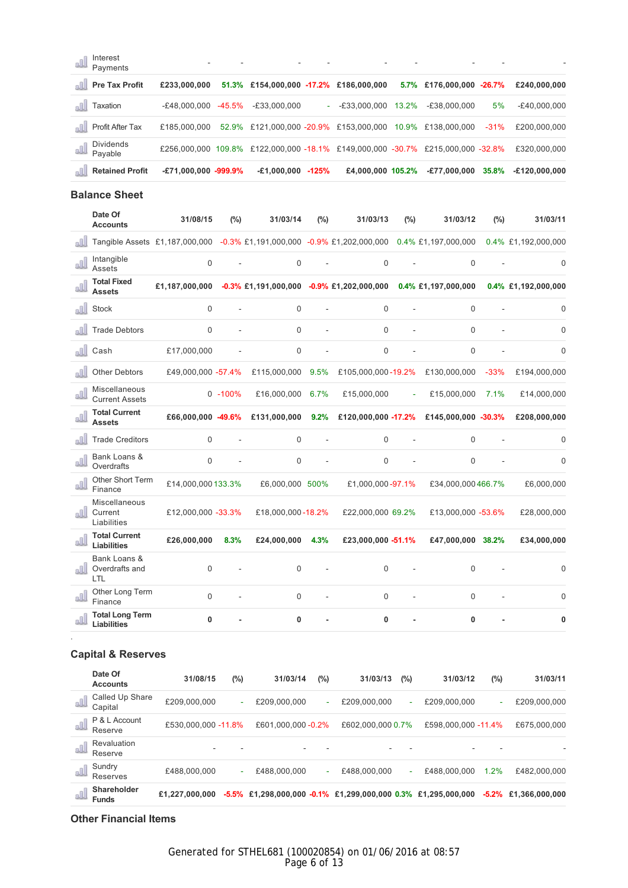| Interest<br>Payments         |                     |        |                                                                                 |                   |       |                          |        |                |
|------------------------------|---------------------|--------|---------------------------------------------------------------------------------|-------------------|-------|--------------------------|--------|----------------|
| <b>Pre Tax Profit</b><br>n N | £233,000,000        |        | 51.3% £154,000,000 -17.2% £186,000,000                                          |                   |       | 5.7% £176,000,000 -26.7% |        | £240,000,000   |
| Taxation                     | -£48.000.000        | -45.5% | E33,000,000-                                                                    | $ -$ £33.000.000  | 13.2% | $-E38.000.000$           | 5%     | $-E40,000,000$ |
| Profit After Tax             | £185,000,000        |        | 52.9% £121,000,000 -20.9% £153,000,000 10.9% £138,000,000                       |                   |       |                          | $-31%$ | £200,000,000   |
| Dividends<br>Pavable         |                     |        | £256,000,000 109.8% £122,000,000 -18.1% £149,000,000 -30.7% £215,000,000 -32.8% |                   |       |                          |        | £320,000,000   |
| <b>Retained Profit</b>       | E71,000,000 -999.9% |        | $-£1,000,000 -125%$                                                             | £4,000,000 105.2% |       | -£77,000,000             | 35.8%  | E120,000,000-  |

## **Balance Sheet**

|                    | Date Of<br><b>Accounts</b>                   | 31/08/15                                                                                     | (%)         | 31/03/14          | (%)  | 31/03/13                                                            | (%) | 31/03/12            | (%)    | 31/03/11            |
|--------------------|----------------------------------------------|----------------------------------------------------------------------------------------------|-------------|-------------------|------|---------------------------------------------------------------------|-----|---------------------|--------|---------------------|
| nN.                |                                              | Tangible Assets £1,187,000,000 -0.3% £1,191,000,000 -0.9% £1,202,000,000 0.4% £1,197,000,000 |             |                   |      |                                                                     |     |                     |        | 0.4% £1,192,000,000 |
| all                | Intangible<br>Assets                         | $\mathbf 0$                                                                                  |             | 0                 |      | $\mathbf 0$                                                         |     | $\mathbf 0$         |        | 0                   |
| all.               | <b>Total Fixed</b><br><b>Assets</b>          | £1.187.000.000                                                                               |             |                   |      | $-0.3\%$ £1,191,000,000 $-0.9\%$ £1,202,000,000 0.4% £1,197,000,000 |     |                     |        | 0.4% £1,192,000,000 |
| nil.               | <b>Stock</b>                                 | $\mathbf 0$                                                                                  |             | 0                 |      | $\Omega$                                                            |     | $\mathbf 0$         |        | 0                   |
|                    | <b>Trade Debtors</b>                         | $\Omega$                                                                                     |             | $\Omega$          |      | $\Omega$                                                            |     | $\Omega$            |        | 0                   |
| nN.                | Cash                                         | £17,000,000                                                                                  |             | 0                 |      | $\Omega$                                                            |     | $\mathbf 0$         |        | $\Omega$            |
|                    | <b>Other Debtors</b>                         | £49,000,000 -57.4%                                                                           |             | £115,000,000 9.5% |      | £105,000,000-19.2%                                                  |     | £130,000,000        | $-33%$ | £194,000,000        |
| all                | Miscellaneous<br><b>Current Assets</b>       |                                                                                              | $0 - 100\%$ | £16,000,000       | 6.7% | £15,000,000                                                         |     | £15,000,000         | 7.1%   | £14,000,000         |
| all.               | <b>Total Current</b><br><b>Assets</b>        | £66,000,000 -49.6%                                                                           |             | £131,000,000      | 9.2% | £120,000,000 -17.2%                                                 |     | £145,000,000 -30.3% |        | £208,000,000        |
|                    | <b>Trade Creditors</b>                       | $\Omega$                                                                                     |             | 0                 |      | $\Omega$                                                            |     | $\Omega$            |        | 0                   |
| all.               | Bank Loans &<br>Overdrafts                   | $\Omega$                                                                                     |             | 0                 |      | $\Omega$                                                            |     | $\Omega$            |        | 0                   |
| all.               | Other Short Term<br>Finance                  | £14,000,000 133.3%                                                                           |             | £6,000,000 500%   |      | £1,000,000-97.1%                                                    |     | £34,000,000466.7%   |        | £6,000,000          |
| n <sub>n</sub> nll | Miscellaneous<br>Current<br>Liabilities      | £12,000,000 -33.3%                                                                           |             | £18,000,000-18.2% |      | £22,000,000 69.2%                                                   |     | £13,000,000 -53.6%  |        | £28,000,000         |
| sll.               | <b>Total Current</b><br>Liabilities          | £26,000,000                                                                                  | 8.3%        | £24,000,000       | 4.3% | £23,000,000 -51.1%                                                  |     | £47,000,000 38.2%   |        | £34,000,000         |
| n.                 | Bank Loans &<br>Overdrafts and<br>LTL        | 0                                                                                            |             | $\mathbf 0$       |      | 0                                                                   |     | $\Omega$            |        | 0                   |
| all                | Other Long Term<br>Finance                   | $\Omega$                                                                                     |             | 0                 |      | $\Omega$                                                            |     | $\mathbf 0$         |        | 0                   |
| all                | <b>Total Long Term</b><br><b>Liabilities</b> | $\mathbf{0}$                                                                                 |             | 0                 |      | $\mathbf{0}$                                                        |     | $\mathbf{0}$        |        | $\mathbf{0}$        |

# **Capital & Reserves**

.

| Date Of<br><b>Accounts</b>      |                 | 31/08/15            | $(\%)$ | 31/03/14            | $(\%)$ | 31/03/13                                                      | (%) | 31/03/12            | $(\%)$  | 31/03/11       |
|---------------------------------|-----------------|---------------------|--------|---------------------|--------|---------------------------------------------------------------|-----|---------------------|---------|----------------|
| all<br>Capital                  | Called Up Share | £209,000,000        | ٠      | £209,000,000        | ٠      | £209,000,000                                                  | ٠   | £209,000,000        | ٠       | £209,000,000   |
| P & L Account<br>GU.<br>Reserve |                 | £530,000,000 -11.8% |        | £601,000,000 - 0.2% |        | £602,000,000 0.7%                                             |     | £598,000,000 -11.4% |         | £675,000,000   |
| Revaluation<br>su.<br>Reserve   |                 | -                   |        | -                   |        |                                                               |     | -                   |         |                |
| Sundry<br>Reserves              |                 | £488,000,000        | ٠      | £488,000,000        | ٠      | £488,000,000                                                  | ٠   | £488,000,000        | 1.2%    | £482,000,000   |
| Shareholder<br><b>Funds</b>     |                 | £1.227.000.000      |        |                     |        | -5.5% £1,298,000,000 -0.1% £1,299,000,000 0.3% £1,295,000,000 |     |                     | $-5.2%$ | £1,366,000,000 |

### **Other Financial Items**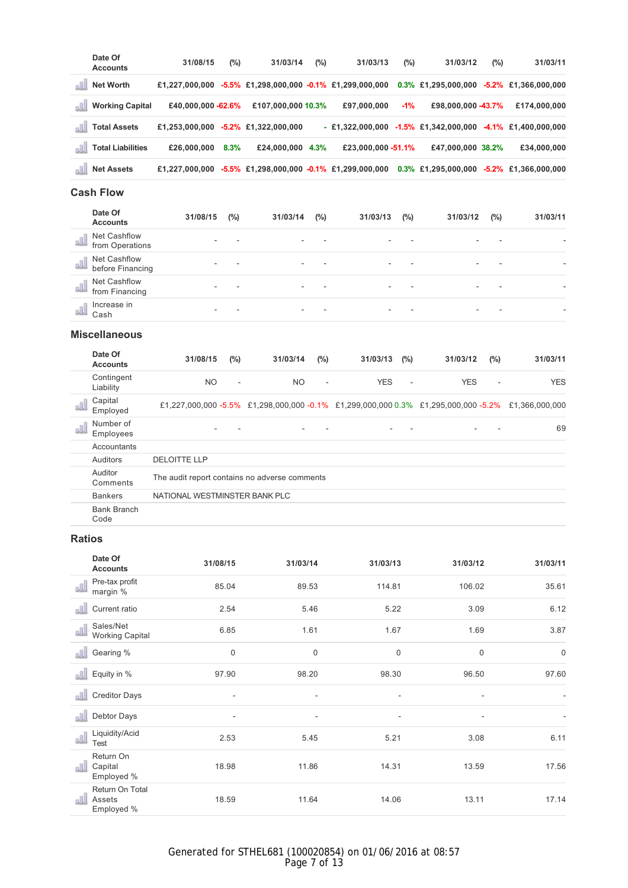| Date Of<br><b>Accounts</b>       | 31/08/15            | (%)  | 31/03/14                | $(\%)$ | 31/03/13                                                 | $(\%)$ | 31/03/12           | $(\%)$ | 31/03/11                                        |
|----------------------------------|---------------------|------|-------------------------|--------|----------------------------------------------------------|--------|--------------------|--------|-------------------------------------------------|
| <b>Net Worth</b>                 | £1,227,000,000      |      |                         |        | $-5.5\%$ £1,298,000,000 $-0.1\%$ £1,299,000,000          |        |                    |        | $0.3\%$ £1,295,000,000 -5.2% £1,366,000,000     |
| <b>Working Capital</b>           | £40,000,000 - 62.6% |      | £107,000,000 10.3%      |        | £97,000,000                                              | $-1\%$ | £98,000,000 -43.7% |        | £174,000,000                                    |
| <b>Total Assets</b><br>all.      | £1,253,000,000      |      | $-5.2\%$ £1,322,000,000 |        | $-$ £1,322,000,000                                       |        |                    |        | $-1.5\%$ £1,342,000,000 $-4.1\%$ £1,400,000,000 |
| <b>Total Liabilities</b><br>alll | £26,000,000         | 8.3% | £24,000,000             | 4.3%   | £23,000,000 - 51.1%                                      |        | £47,000,000 38.2%  |        | £34,000,000                                     |
| <b>Net Assets</b><br>all.        |                     |      |                         |        | £1,227,000,000 -5.5% £1,298,000,000 -0.1% £1,299,000,000 |        |                    |        | $0.3\%$ £1,295,000,000 -5.2% £1,366,000,000     |

# **Cash Flow**

| Date Of<br><b>Accounts</b>                      | 31/08/15 | (%) | 31/03/14 | (%) | 31/03/13 | (%) | 31/03/12 | $(\%)$ | 31/03/11 |
|-------------------------------------------------|----------|-----|----------|-----|----------|-----|----------|--------|----------|
| <b>Net Cashflow</b><br>8JJ.<br>from Operations  |          |     | -        |     |          |     | -        |        |          |
| <b>Net Cashflow</b><br>all.<br>before Financing | ۰        |     | ۰        |     | ۰        |     |          |        |          |
| <b>Net Cashflow</b><br>from Financing           | -        |     | ۰        |     | -        |     |          |        |          |
| Increase in<br>Cash                             |          |     | -        |     |          |     |          |        |          |

#### **Miscellaneous**

|     | Date Of<br><b>Accounts</b> | 31/08/15                                      | $(\%)$ | 31/03/14  | (%)    | 31/03/13                                                                           | (%)    | 31/03/12   | (%)                      | 31/03/11       |
|-----|----------------------------|-----------------------------------------------|--------|-----------|--------|------------------------------------------------------------------------------------|--------|------------|--------------------------|----------------|
|     | Contingent<br>Liability    | <b>NO</b>                                     | $\sim$ | <b>NO</b> | $\sim$ | <b>YES</b>                                                                         | $\sim$ | <b>YES</b> | $\overline{\phantom{a}}$ | <b>YES</b>     |
|     | Capital<br>Employed        |                                               |        |           |        | £1,227,000,000 -5.5% £1,298,000,000 -0.1% £1,299,000,000 0.3% £1,295,000,000 -5.2% |        |            |                          | £1.366.000.000 |
| all | Number of<br>Employees     |                                               | ۰      |           |        | -                                                                                  |        |            |                          | 69             |
|     | Accountants                |                                               |        |           |        |                                                                                    |        |            |                          |                |
|     | Auditors                   | <b>DELOITTE LLP</b>                           |        |           |        |                                                                                    |        |            |                          |                |
|     | Auditor<br>Comments        | The audit report contains no adverse comments |        |           |        |                                                                                    |        |            |                          |                |
|     | <b>Bankers</b>             | NATIONAL WESTMINSTER BANK PLC                 |        |           |        |                                                                                    |        |            |                          |                |
|     | <b>Bank Branch</b><br>Code |                                               |        |           |        |                                                                                    |        |            |                          |                |

#### **Ratios**

| Date Of<br><b>Accounts</b>                     | 31/08/15                 | 31/03/14                 | 31/03/13                 | 31/03/12    | 31/03/11    |
|------------------------------------------------|--------------------------|--------------------------|--------------------------|-------------|-------------|
| Pre-tax profit<br>all<br>margin %              | 85.04                    | 89.53                    | 114.81                   | 106.02      | 35.61       |
| Current ratio<br>all                           | 2.54                     | 5.46                     | 5.22                     | 3.09        | 6.12        |
| Sales/Net<br>all<br><b>Working Capital</b>     | 6.85                     | 1.61                     | 1.67                     | 1.69        | 3.87        |
| Gearing %                                      | $\mathbf 0$              | $\mathbf 0$              | $\mathbf 0$              | $\mathbf 0$ | $\mathbf 0$ |
| Equity in %<br>all                             | 97.90                    | 98.20                    | 98.30                    | 96.50       | 97.60       |
| <b>Creditor Days</b><br>all                    | $\overline{\phantom{a}}$ | $\overline{\phantom{a}}$ | $\overline{\phantom{a}}$ | ٠           |             |
| Debtor Days                                    | $\overline{\phantom{a}}$ | $\overline{\phantom{a}}$ | ٠                        | ٠           |             |
| Liquidity/Acid<br>all<br>Test                  | 2.53                     | 5.45                     | 5.21                     | 3.08        | 6.11        |
| Return On<br>all<br>Capital<br>Employed %      | 18.98                    | 11.86                    | 14.31                    | 13.59       | 17.56       |
| Return On Total<br>n N<br>Assets<br>Employed % | 18.59                    | 11.64                    | 14.06                    | 13.11       | 17.14       |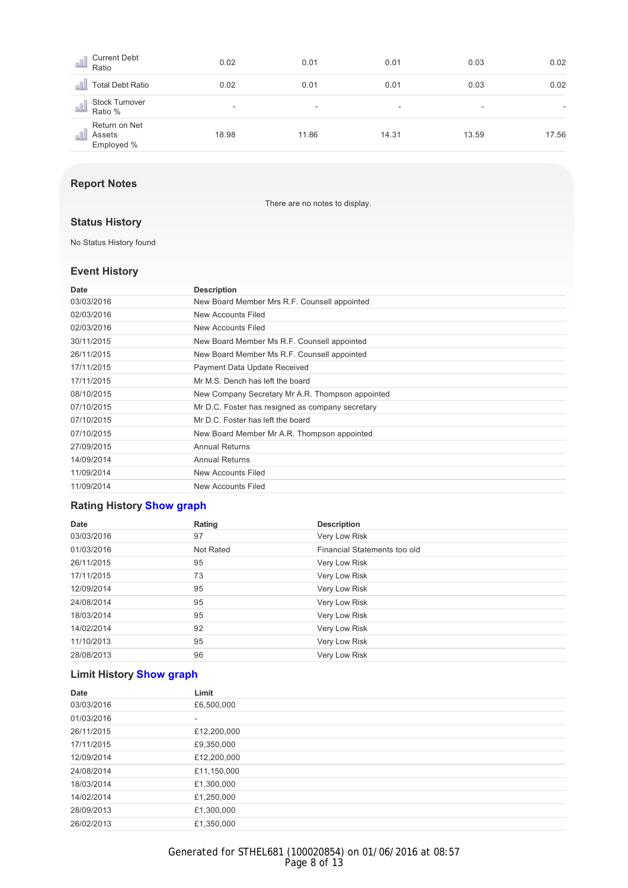| <b>Current Debt</b><br>8UJ.<br>Ratio           | 0.02                     | 0.01  | 0.01  | 0.03  | 0.02  |
|------------------------------------------------|--------------------------|-------|-------|-------|-------|
| <b>Total Debt Ratio</b>                        | 0.02                     | 0.01  | 0.01  | 0.03  | 0.02  |
| <b>Stock Turnover</b><br>8UJ<br>Ratio %        | $\overline{\phantom{a}}$ | -     | -     | -     |       |
| Return on Net<br>Assets<br>s. IJ<br>Employed % | 18.98                    | 11.86 | 14.31 | 13.59 | 17.56 |

### **Report Notes**

There are no notes to display.

# **Status History**

No Status History found

#### **Event History**

| Date       | <b>Description</b>                               |
|------------|--------------------------------------------------|
| 03/03/2016 | New Board Member Mrs R.F. Counsell appointed     |
| 02/03/2016 | New Accounts Filed                               |
| 02/03/2016 | New Accounts Filed                               |
| 30/11/2015 | New Board Member Ms R.F. Counsell appointed      |
| 26/11/2015 | New Board Member Ms R.F. Counsell appointed      |
| 17/11/2015 | Payment Data Update Received                     |
| 17/11/2015 | Mr M.S. Dench has left the board                 |
| 08/10/2015 | New Company Secretary Mr A.R. Thompson appointed |
| 07/10/2015 | Mr D.C. Foster has resigned as company secretary |
| 07/10/2015 | Mr D.C. Foster has left the board                |
| 07/10/2015 | New Board Member Mr A.R. Thompson appointed      |
| 27/09/2015 | <b>Annual Returns</b>                            |
| 14/09/2014 | <b>Annual Returns</b>                            |
| 11/09/2014 | New Accounts Filed                               |
| 11/09/2014 | New Accounts Filed                               |

# **Rating History Show graph**

| Date       | Rating    | <b>Description</b>           |
|------------|-----------|------------------------------|
| 03/03/2016 | 97        | Very Low Risk                |
| 01/03/2016 | Not Rated | Financial Statements too old |
| 26/11/2015 | 95        | Very Low Risk                |
| 17/11/2015 | 73        | Very Low Risk                |
| 12/09/2014 | 95        | Very Low Risk                |
| 24/08/2014 | 95        | Very Low Risk                |
| 18/03/2014 | 95        | Very Low Risk                |
| 14/02/2014 | 92        | Very Low Risk                |
| 11/10/2013 | 95        | Very Low Risk                |
| 28/08/2013 | 96        | Very Low Risk                |

# **Limit History Show graph**

| Date       | Limit       |  |
|------------|-------------|--|
| 03/03/2016 | £6,500,000  |  |
| 01/03/2016 | ۰           |  |
| 26/11/2015 | £12,200,000 |  |
| 17/11/2015 | £9,350,000  |  |
| 12/09/2014 | £12,200,000 |  |
| 24/08/2014 | £11,150,000 |  |
| 18/03/2014 | £1,300,000  |  |
| 14/02/2014 | £1,250,000  |  |
| 28/09/2013 | £1,300,000  |  |
| 26/02/2013 | £1,350,000  |  |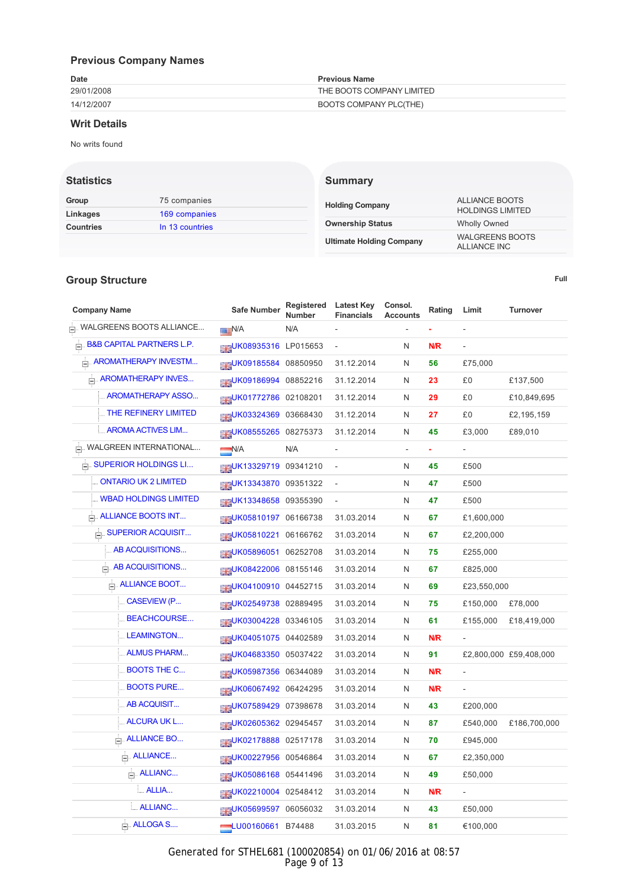# **Previous Company Names**

| Date       | <b>Previous Name</b>      |
|------------|---------------------------|
| 29/01/2008 | THE BOOTS COMPANY LIMITED |
| 14/12/2007 | BOOTS COMPANY PLC(THE)    |

#### **Writ Details**

No writs found

#### **Statistics**

| Group            | 75 companies    | <b>Holding Company</b>          | ALLIANCE BOOTS                         |  |
|------------------|-----------------|---------------------------------|----------------------------------------|--|
| Linkages         | 169 companies   |                                 | <b>HOLDINGS LIMITED</b>                |  |
| <b>Countries</b> | In 13 countries | <b>Ownership Status</b>         | <b>Wholly Owned</b>                    |  |
|                  |                 | <b>Ultimate Holding Company</b> | <b>WALGREENS BOOTS</b><br>ALLIANOT INO |  |

**Summary**

#### **Group Structure**

**Full**

ALLIANCE INC

| <b>Company Name</b>                 | Safe Number                    | Registered<br><b>Number</b> | <b>Latest Key</b><br><b>Financials</b> | Consol.<br><b>Accounts</b> | Rating     | Limit          | <b>Turnover</b>        |
|-------------------------------------|--------------------------------|-----------------------------|----------------------------------------|----------------------------|------------|----------------|------------------------|
| E. WALGREENS BOOTS ALLIANCE         | <b>N/A</b>                     | N/A                         |                                        |                            |            |                |                        |
| $\Box$ B&B CAPITAL PARTNERS L.P.    | <b>ELEUK08935316 LP015653</b>  |                             |                                        | N                          | N/R        |                |                        |
| <b>E. AROMATHERAPY INVESTM</b>      | <b>BIGUK09185584</b> 08850950  |                             | 31.12.2014                             | N                          | 56         | £75,000        |                        |
| <b>AROMATHERAPY INVES</b>           | <b>BIBUK09186994</b> 08852216  |                             | 31.12.2014                             | N                          | 23         | £0             | £137,500               |
| AROMATHERAPY ASSO                   | UK01772786 02108201            |                             | 31.12.2014                             | N                          | 29         | £0             | £10,849,695            |
| <b>MEXICAL THE REFINERY LIMITED</b> | <b>BIBUK03324369 03668430</b>  |                             | 31.12.2014                             | N                          | 27         | £0             | £2,195,159             |
| <b>ELL AROMA ACTIVES LIM</b>        | <b>REUK08555265 08275373</b>   |                             | 31.12.2014                             | N                          | 45         | £3,000         | £89,010                |
| E. WALGREEN INTERNATIONAL           | N/A                            | N/A                         | ÷,                                     |                            |            |                |                        |
| <b>E. SUPERIOR HOLDINGS LI</b>      | <b>BIBUK13329719 09341210</b>  |                             | $\qquad \qquad \blacksquare$           | N                          | 45         | £500           |                        |
| . ONTARIO UK 2 LIMITED              | <b>RIGUK13343870 09351322</b>  |                             | $\qquad \qquad \blacksquare$           | N                          | 47         | £500           |                        |
| . WBAD HOLDINGS LIMITED             | <b>RIEUK13348658 09355390</b>  |                             | ÷,                                     | N                          | 47         | £500           |                        |
| <b>E. ALLIANCE BOOTS INT</b>        | <b>BIBUK05810197 06166738</b>  |                             | 31.03.2014                             | N                          | 67         | £1,600,000     |                        |
| SUPERIOR ACQUISIT                   | <b>BIBUK05810221 06166762</b>  |                             | 31.03.2014                             | N                          | 67         | £2,200,000     |                        |
| AB ACQUISITIONS                     | <b>DIEUK05896051 06252708</b>  |                             | 31.03.2014                             | N                          | 75         | £255,000       |                        |
| AB ACQUISITIONS                     | <b>ELEUK08422006 08155146</b>  |                             | 31.03.2014                             | N                          | 67         | £825,000       |                        |
| <b>ALLIANCE BOOT</b>                | <b>DISOLATION</b> 04452715     |                             | 31.03.2014                             | N                          | 69         | £23,550,000    |                        |
| <b>CASEVIEW (P</b>                  | MEUK02549738 02889495          |                             | 31.03.2014                             | N                          | 75         | £150,000       | £78,000                |
| <b>BEACHCOURSE</b>                  | <b>MUK03004228 03346105</b>    |                             | 31.03.2014                             | N                          | 61         | £155,000       | £18,419,000            |
| LEAMINGTON                          | <b>DISOLAO 51075</b> 04402589  |                             | 31.03.2014                             | N                          | <b>N/R</b> |                |                        |
| <b>ALMUS PHARM</b>                  | <b>EIEUK04683350 05037422</b>  |                             | 31.03.2014                             | N                          | 91         |                | £2,800,000 £59,408,000 |
| <b>BOOTS THE C</b>                  | <b>BIGUK05987356 06344089</b>  |                             | 31.03.2014                             | N                          | <b>N/R</b> | $\blacksquare$ |                        |
| <b>BOOTS PURE</b>                   | ENGINE UK06067492 06424295     |                             | 31.03.2014                             | N                          | N/R        |                |                        |
| AB ACQUISIT                         | UK07589429 07398678            |                             | 31.03.2014                             | N                          | 43         | £200,000       |                        |
| <b>ALCURA UK L</b>                  | <b>BIBUK02605362 02945457</b>  |                             | 31.03.2014                             | N                          | 87         | £540,000       | £186,700,000           |
| $\Box$ . ALLIANCE BO                | <b>DISOLARED MARSH 2517178</b> |                             | 31.03.2014                             | N                          | 70         | £945,000       |                        |
| $\Box$ . ALLIANCE                   | <b>BIBUK00227956</b> 00546864  |                             | 31.03.2014                             | N                          | 67         | £2,350,000     |                        |
| $\Box$ . ALLIANC                    | <b>REUK05086168 05441496</b>   |                             | 31.03.2014                             | N                          | 49         | £50,000        |                        |
| <b>MALLIA</b>                       | SHOO2210004 02548412           |                             | 31.03.2014                             | N                          | <b>N/R</b> |                |                        |
| <b>ALLIANC</b>                      | <b>ELEUK05699597 06056032</b>  |                             | 31.03.2014                             | N                          | 43         | £50,000        |                        |
| $\Box$ ALLOGA S                     | $-$ LU00160661 B74488          |                             | 31.03.2015                             | N                          | 81         | €100,000       |                        |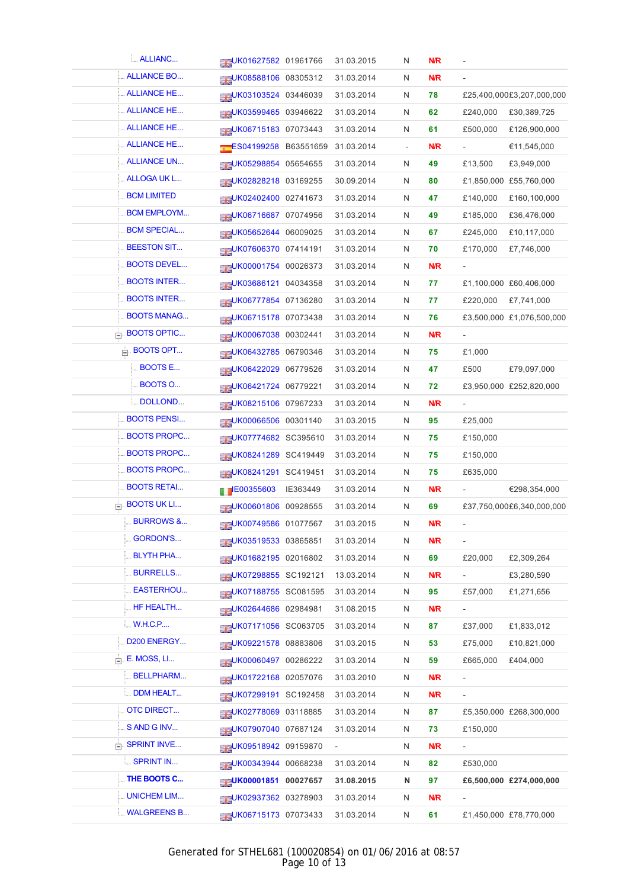| <b>ALLIANC</b>           | UK01627582 01961766              | 31.03.2015               | N                        | <b>N/R</b> |                          |                           |
|--------------------------|----------------------------------|--------------------------|--------------------------|------------|--------------------------|---------------------------|
| <b>ALLIANCE BO</b>       | <b>BIGUK08588106 08305312</b>    | 31.03.2014               | N                        | <b>N/R</b> |                          |                           |
| <b>ALLIANCE HE</b>       | <b>BIBUK03103524</b> 03446039    | 31.03.2014               | N                        | 78         |                          | £25,400,000£3,207,000,000 |
| <b>ALLIANCE HE</b>       | UK03599465 03946622              | 31.03.2014               | N                        | 62         | £240,000                 | £30,389,725               |
| <b>ALLIANCE HE</b>       | <b>MAGEMENT 15183 07073443</b>   | 31.03.2014               | N                        | 61         | £500,000                 | £126,900,000              |
| <b>ALLIANCE HE</b>       | ES04199258 B63551659             | 31.03.2014               | $\overline{\phantom{a}}$ | <b>N/R</b> | $\overline{\phantom{a}}$ | €11,545,000               |
| <b>ALLIANCE UN</b>       | <b>ELEUK05298854</b> 05654655    | 31.03.2014               | N                        | 49         | £13,500                  | £3,949,000                |
| <b>ALLOGA UK L</b>       | <b>SHOVE UK02828218 03169255</b> | 30.09.2014               | N                        | 80         |                          | £1,850,000 £55,760,000    |
| <b>BCM LIMITED</b>       | <b>SHOVE UK02402400 02741673</b> | 31.03.2014               | N                        | 47         | £140,000                 | £160,100,000              |
| <b>BCM EMPLOYM</b>       | UK06716687 07074956              | 31.03.2014               | N                        | 49         | £185,000                 | £36,476,000               |
| <b>BCM SPECIAL</b>       | <b>HEUK05652644 06009025</b>     | 31.03.2014               | N                        | 67         | £245,000                 | £10,117,000               |
| <b>BEESTON SIT</b>       | UK07606370 07414191              | 31.03.2014               | N                        | 70         | £170,000                 | £7,746,000                |
| <b>BOOTS DEVEL</b>       | <b>SHOUK00001754 00026373</b>    | 31.03.2014               | N                        | N/R        | $\overline{\phantom{a}}$ |                           |
| <b>BOOTS INTER</b>       | <b>BIGUK03686121 04034358</b>    | 31.03.2014               | N                        | 77         |                          | £1,100,000 £60,406,000    |
| <b>BOOTS INTER</b>       | <b>BIGUK06777854 07136280</b>    | 31.03.2014               | N                        | 77         | £220,000                 | £7,741,000                |
| <b>BOOTS MANAG</b>       | <b>SHOW CONTROLLS</b> 07073438   | 31.03.2014               | N                        | 76         |                          | £3,500,000 £1,076,500,000 |
| $\Box$ BOOTS OPTIC       | <b>HEUK00067038 00302441</b>     | 31.03.2014               | N                        | N/R        | $\overline{\phantom{a}}$ |                           |
| $\Box$ BOOTS OPT         | <b>MUK06432785 06790346</b>      | 31.03.2014               | N                        | 75         | £1,000                   |                           |
| <b>BOOTS E</b>           | UK06422029 06779526              | 31.03.2014               | N                        | 47         | £500                     | £79,097,000               |
| <b>BOOTS O</b>           | UK06421724 06779221              | 31.03.2014               | N                        | 72         |                          | £3,950,000 £252,820,000   |
| <b>DOLLOND</b>           | <b>MOR215106 07967233</b>        | 31.03.2014               | N                        | N/R        |                          |                           |
| <b>BOOTS PENSI</b>       | <b>HEUK00066506</b> 00301140     | 31.03.2015               | N                        | 95         | £25,000                  |                           |
| <b>BOOTS PROPC</b>       | <b>BIBUK07774682</b> SC395610    | 31.03.2014               | N                        | 75         | £150,000                 |                           |
| <b>BOOTS PROPC</b>       | UK08241289 SC419449              | 31.03.2014               | N                        | 75         | £150,000                 |                           |
| <b>BOOTS PROPC</b>       | <b>BIBUK08241291 SC419451</b>    | 31.03.2014               | N                        | 75         | £635,000                 |                           |
| <b>BOOTS RETAI</b>       | FB00355603 IE363449              | 31.03.2014               | N                        | N/R        |                          | €298,354,000              |
| $\Box$ BOOTS UK LI       | UK00601806 00928555              | 31.03.2014               | N                        | 69         |                          | £37,750,000£6,340,000,000 |
| <b>BURROWS &amp;</b>     | UK00749586 01077567              | 31.03.2015               | N                        | <b>N/R</b> | $\overline{\phantom{a}}$ |                           |
| <b>GORDON'S</b>          | <b>DIEUK03519533</b> 03865851    | 31.03.2014               | N                        | N/R        |                          |                           |
| <b>BLYTH PHA</b>         | UK01682195 02016802              | 31.03.2014               | N                        | 69         | £20,000                  | £2,309,264                |
| <b>BURRELLS</b>          | <b>BIBUK07298855 SC192121</b>    | 13.03.2014               | N                        | N/R        | $\overline{\phantom{a}}$ | £3,280,590                |
| EASTERHOU                | <b>ELEUK07188755 SC081595</b>    | 31.03.2014               | N                        | 95         | £57,000                  | £1,271,656                |
| HF HEALTH                | UK02644686 02984981              | 31.08.2015               | N                        | N/R        |                          |                           |
| <b>W.H.C.P</b>           | UK07171056 SC063705              | 31.03.2014               | N                        | 87         | £37,000                  | £1,833,012                |
| D200 ENERGY              | <b>BIGUK09221578 08883806</b>    | 31.03.2015               | N                        | 53         | £75,000                  | £10,821,000               |
| $\Box$ E. MOSS, LI       | UK00060497 00286222              | 31.03.2014               | N                        | 59         | £665,000                 | £404,000                  |
| <b>BELLPHARM</b>         | UK01722168 02057076              | 31.03.2010               | N                        | <b>N/R</b> | $\overline{\phantom{a}}$ |                           |
| DDM HEALT                | <b>BIGUK07299191 SC192458</b>    | 31.03.2014               | N                        | <b>N/R</b> | $\blacksquare$           |                           |
| <b>OTC DIRECT</b>        | UK02778069 03118885              | 31.03.2014               | N                        | 87         |                          | £5,350,000 £268,300,000   |
| SAND GINV                | ELEUK07907040 07687124           | 31.03.2014               | N                        | 73         | £150,000                 |                           |
| $\mathbb{H}$ SPRINT INVE | <b>BIBUK09518942 09159870</b>    | $\overline{\phantom{a}}$ | N                        | N/R        | $\overline{\phantom{a}}$ |                           |
| <b>SPRINT IN</b>         | <b>SHOUK00343944 00668238</b>    | 31.03.2014               | N                        | 82         | £530,000                 |                           |
| THE BOOTS C              | <b>HEUK00001851 00027657</b>     | 31.08.2015               | N                        | 97         |                          | £6,500,000 £274,000,000   |
| <b>UNICHEM LIM</b>       | <b>BIBUK02937362 03278903</b>    | 31.03.2014               | N                        | N/R        | $\overline{\phantom{a}}$ |                           |
| <b>MALGREENS B</b>       | <b>MAGEMENT 3 07073433</b>       | 31.03.2014               | N                        | 61         |                          | £1,450,000 £78,770,000    |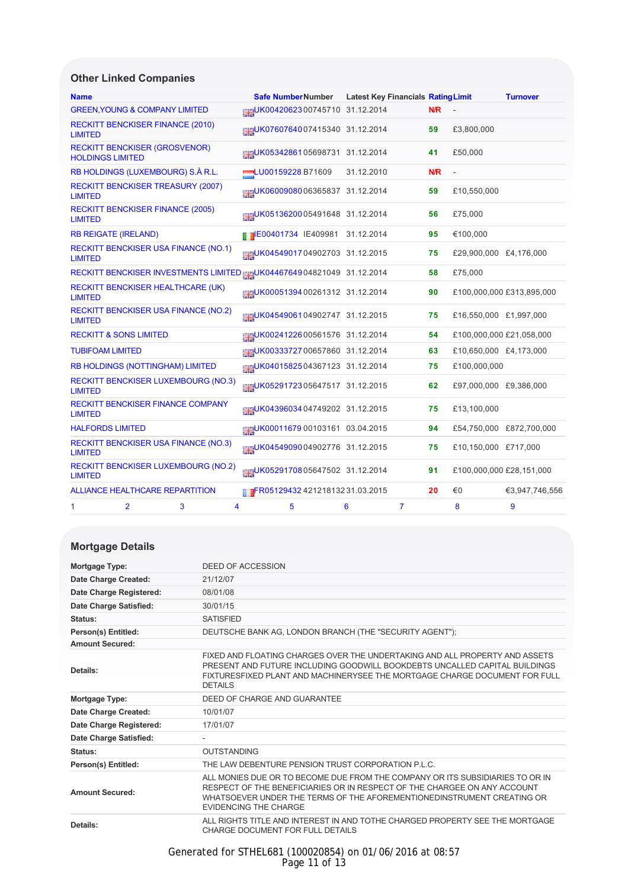# **Other Linked Companies**

| <b>Name</b>    |                                                                 |                                                                       |                   | <b>Safe NumberNumber</b>         | <b>Latest Key Financials Rating Limit</b> |                |            |                          | <b>Turnover</b>           |
|----------------|-----------------------------------------------------------------|-----------------------------------------------------------------------|-------------------|----------------------------------|-------------------------------------------|----------------|------------|--------------------------|---------------------------|
|                | <b>GREEN, YOUNG &amp; COMPANY LIMITED</b>                       |                                                                       |                   | UK0042062300745710 31.12.2014    |                                           |                | <b>N/R</b> |                          |                           |
| <b>LIMITED</b> | <b>RECKITT BENCKISER FINANCE (2010)</b>                         |                                                                       |                   | UK0760764007415340 31.12.2014    |                                           |                | 59         | £3,800,000               |                           |
|                | <b>RECKITT BENCKISER (GROSVENOR)</b><br><b>HOLDINGS LIMITED</b> |                                                                       |                   | UK0534286105698731 31.12.2014    |                                           |                | 41         | £50,000                  |                           |
|                |                                                                 | RB HOLDINGS (LUXEMBOURG) S.À R.L.                                     | LU00159228 B71609 |                                  | 31.12.2010                                |                | N/R        |                          |                           |
| <b>LIMITED</b> |                                                                 | <b>RECKITT BENCKISER TREASURY (2007)</b>                              |                   | LUK0600908006365837 31.12.2014   |                                           |                | 59         | £10,550,000              |                           |
| <b>LIMITED</b> | <b>RECKITT BENCKISER FINANCE (2005)</b>                         |                                                                       |                   | UK0513620005491648 31.12.2014    |                                           |                | 56         | £75,000                  |                           |
|                | <b>RB REIGATE (IRELAND)</b>                                     |                                                                       |                   | E00401734 IE409981 31.12.2014    |                                           |                | 95         | €100,000                 |                           |
| <b>LIMITED</b> |                                                                 | <b>RECKITT BENCKISER USA FINANCE (NO.1)</b>                           |                   | UK0454901704902703 31.12.2015    |                                           |                | 75         | £29,900,000 £4,176,000   |                           |
|                |                                                                 | RECKITT BENCKISER INVESTMENTS LIMITED BEUK0446764904821049 31.12.2014 |                   |                                  |                                           |                | 58         | £75,000                  |                           |
| <b>LIMITED</b> |                                                                 | RECKITT BENCKISER HEALTHCARE (UK)                                     |                   | BUK0005139400261312 31.12.2014   |                                           |                | 90         |                          | £100,000,000 £313,895,000 |
| <b>LIMITED</b> |                                                                 | <b>RECKITT BENCKISER USA FINANCE (NO.2)</b>                           |                   | UK0454906104902747 31.12.2015    |                                           |                | 75         | £16,550,000 £1,997,000   |                           |
|                | <b>RECKITT &amp; SONS LIMITED</b>                               |                                                                       |                   | UK0024122600561576 31.12.2014    |                                           |                | 54         | £100,000,000 £21,058,000 |                           |
|                | <b>TUBIFOAM LIMITED</b>                                         |                                                                       |                   | UK0033372700657860 31.12.2014    |                                           |                | 63         | £10,650,000 £4,173,000   |                           |
|                |                                                                 | RB HOLDINGS (NOTTINGHAM) LIMITED                                      |                   | LUK0401582504367123 31.12.2014   |                                           |                | 75         | £100,000,000             |                           |
| <b>LIMITED</b> |                                                                 | <b>RECKITT BENCKISER LUXEMBOURG (NO.3)</b>                            |                   | UK0529172305647517 31.12.2015    |                                           |                | 62         | £97,000,000 £9,386,000   |                           |
| <b>LIMITED</b> |                                                                 | <b>RECKITT BENCKISER FINANCE COMPANY</b>                              |                   | UK0439603404749202 31.12.2015    |                                           |                | 75         | £13,100,000              |                           |
|                | <b>HALFORDS LIMITED</b>                                         |                                                                       |                   | UK00011679 00103161 03.04.2015   |                                           |                | 94         |                          | £54,750,000 £872,700,000  |
| <b>LIMITED</b> |                                                                 | <b>RECKITT BENCKISER USA FINANCE (NO.3)</b>                           |                   | BIGUK0454909004902776 31.12.2015 |                                           |                | 75         | £10,150,000 £717,000     |                           |
| <b>LIMITED</b> |                                                                 | <b>RECKITT BENCKISER LUXEMBOURG (NO.2)</b>                            |                   | UK0529170805647502 31.12.2014    |                                           |                | 91         | £100,000,000 £28,151,000 |                           |
|                |                                                                 | <b>ALLIANCE HEALTHCARE REPARTITION</b>                                |                   | FR05129432 421218132 31.03.2015  |                                           |                | 20         | €0                       | €3,947,746,556            |
| 1              | $\overline{2}$                                                  | 3<br>4                                                                |                   | 5                                | 6                                         | $\overline{7}$ |            | 8                        | 9                         |

# **Mortgage Details**

| Mortgage Type:          | DEED OF ACCESSION                                                                                                                                                                                                                                                   |
|-------------------------|---------------------------------------------------------------------------------------------------------------------------------------------------------------------------------------------------------------------------------------------------------------------|
| Date Charge Created:    | 21/12/07                                                                                                                                                                                                                                                            |
| Date Charge Registered: | 08/01/08                                                                                                                                                                                                                                                            |
| Date Charge Satisfied:  | 30/01/15                                                                                                                                                                                                                                                            |
| Status:                 | <b>SATISFIED</b>                                                                                                                                                                                                                                                    |
| Person(s) Entitled:     | DEUTSCHE BANK AG, LONDON BRANCH (THE "SECURITY AGENT");                                                                                                                                                                                                             |
| <b>Amount Secured:</b>  |                                                                                                                                                                                                                                                                     |
| Details:                | FIXED AND FLOATING CHARGES OVER THE UNDERTAKING AND ALL PROPERTY AND ASSETS<br>PRESENT AND FUTURE INCLUDING GOODWILL BOOKDEBTS UNCALLED CAPITAL BUILDINGS<br>FIXTURESFIXED PLANT AND MACHINERYSEE THE MORTGAGE CHARGE DOCUMENT FOR FULL<br><b>DETAILS</b>           |
| Mortgage Type:          | DEED OF CHARGE AND GUARANTEE                                                                                                                                                                                                                                        |
| Date Charge Created:    | 10/01/07                                                                                                                                                                                                                                                            |
| Date Charge Registered: | 17/01/07                                                                                                                                                                                                                                                            |
| Date Charge Satisfied:  |                                                                                                                                                                                                                                                                     |
| Status:                 | <b>OUTSTANDING</b>                                                                                                                                                                                                                                                  |
| Person(s) Entitled:     | THE LAW DEBENTURE PENSION TRUST CORPORATION P.L.C.                                                                                                                                                                                                                  |
| <b>Amount Secured:</b>  | ALL MONIES DUE OR TO BECOME DUE FROM THE COMPANY OR ITS SUBSIDIARIES TO OR IN<br>RESPECT OF THE BENEFICIARIES OR IN RESPECT OF THE CHARGEE ON ANY ACCOUNT<br>WHATSOEVER UNDER THE TERMS OF THE AFOREMENTIONEDINSTRUMENT CREATING OR<br><b>EVIDENCING THE CHARGE</b> |
| Details:                | ALL RIGHTS TITLE AND INTEREST IN AND TOTHE CHARGED PROPERTY SEE THE MORTGAGE<br>CHARGE DOCUMENT FOR FULL DETAILS                                                                                                                                                    |

#### Generated for STHEL681 (100020854) on 01/06/2016 at 08:57 Page 11 of 13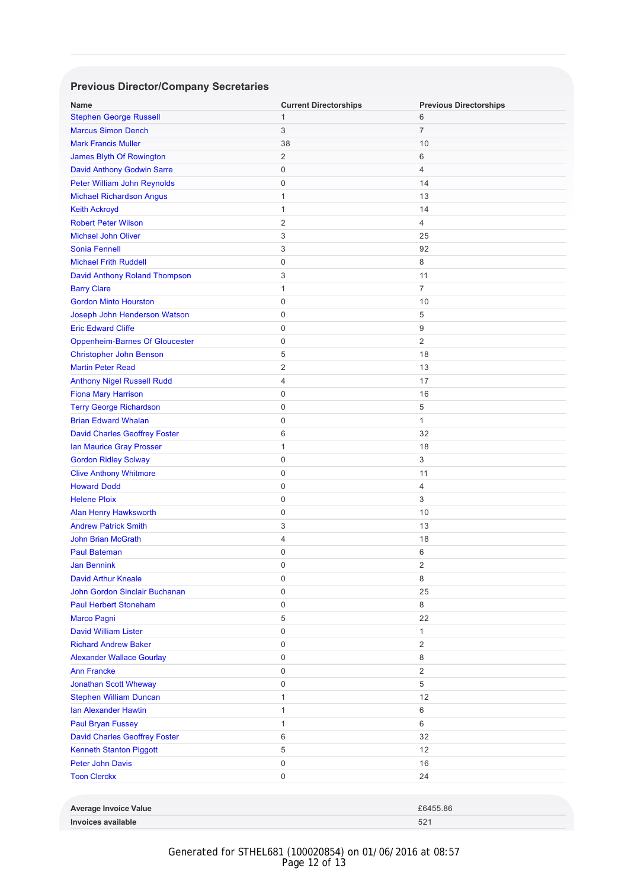# **Previous Director/Company Secretaries**

| <b>Name</b>                           | <b>Current Directorships</b> | <b>Previous Directorships</b> |
|---------------------------------------|------------------------------|-------------------------------|
| <b>Stephen George Russell</b>         | 1                            | 6                             |
| <b>Marcus Simon Dench</b>             | 3                            | 7                             |
| <b>Mark Francis Muller</b>            | 38                           | 10                            |
| James Blyth Of Rowington              | 2                            | 6                             |
| <b>David Anthony Godwin Sarre</b>     | 0                            | 4                             |
| Peter William John Reynolds           | 0                            | 14                            |
| <b>Michael Richardson Angus</b>       | $\mathbf{1}$                 | 13                            |
| <b>Keith Ackroyd</b>                  | 1                            | 14                            |
| <b>Robert Peter Wilson</b>            | 2                            | 4                             |
| <b>Michael John Oliver</b>            | 3                            | 25                            |
| <b>Sonia Fennell</b>                  | 3                            | 92                            |
| <b>Michael Frith Ruddell</b>          | 0                            | 8                             |
| David Anthony Roland Thompson         | 3                            | 11                            |
| <b>Barry Clare</b>                    | $\mathbf{1}$                 | 7                             |
| <b>Gordon Minto Hourston</b>          | 0                            | 10                            |
| Joseph John Henderson Watson          | 0                            | 5                             |
| <b>Eric Edward Cliffe</b>             | 0                            | 9                             |
| <b>Oppenheim-Barnes Of Gloucester</b> | 0                            | $\overline{2}$                |
| <b>Christopher John Benson</b>        | 5                            | 18                            |
| <b>Martin Peter Read</b>              | 2                            | 13                            |
| <b>Anthony Nigel Russell Rudd</b>     | 4                            | 17                            |
| <b>Fiona Mary Harrison</b>            | 0                            | 16                            |
| <b>Terry George Richardson</b>        | 0                            | 5                             |
| <b>Brian Edward Whalan</b>            | 0                            | 1                             |
| <b>David Charles Geoffrey Foster</b>  | 6                            | 32                            |
| Ian Maurice Gray Prosser              | $\mathbf{1}$                 | 18                            |
| <b>Gordon Ridley Solway</b>           | 0                            | 3                             |
| <b>Clive Anthony Whitmore</b>         | 0                            | 11                            |
| <b>Howard Dodd</b>                    | 0                            | 4                             |
| <b>Helene Ploix</b>                   | 0                            | 3                             |
| <b>Alan Henry Hawksworth</b>          | 0                            | 10                            |
| <b>Andrew Patrick Smith</b>           | 3                            | 13                            |
| <b>John Brian McGrath</b>             | 4                            | 18                            |
| <b>Paul Bateman</b>                   | 0                            | 6                             |
| <b>Jan Bennink</b>                    | 0                            | $\overline{2}$                |
| <b>David Arthur Kneale</b>            | 0                            | 8                             |
| <b>John Gordon Sinclair Buchanan</b>  | 0                            | 25                            |
| <b>Paul Herbert Stoneham</b>          | 0                            | 8                             |
| <b>Marco Pagni</b>                    | 5                            | 22                            |
| <b>David William Lister</b>           | 0                            | 1                             |
| <b>Richard Andrew Baker</b>           | 0                            | $\sqrt{2}$                    |
| <b>Alexander Wallace Gourlay</b>      | 0                            | 8                             |
| <b>Ann Francke</b>                    | 0                            | $\overline{c}$                |
| Jonathan Scott Wheway                 | 0                            | 5                             |
| <b>Stephen William Duncan</b>         | $\mathbf{1}$                 | 12                            |
| <b>Ian Alexander Hawtin</b>           | $\mathbf{1}$                 | 6                             |
| <b>Paul Bryan Fussey</b>              | $\mathbf{1}$                 | 6                             |
| <b>David Charles Geoffrey Foster</b>  | 6                            | 32                            |
| Kenneth Stanton Piggott               | 5                            | 12                            |
| <b>Peter John Davis</b>               | 0                            | 16                            |
| <b>Toon Clerckx</b>                   | 0                            | 24                            |
|                                       |                              |                               |
|                                       |                              |                               |
| <b>Average Invoice Value</b>          |                              | £6455.86                      |

Generated for STHEL681 (100020854) on 01/06/2016 at 08:57 Page 12 of 13

**Invoices available** 521